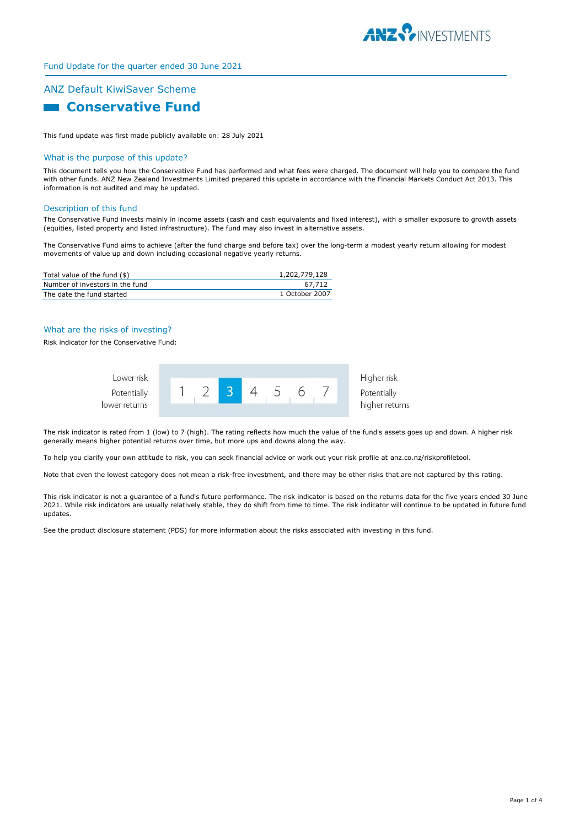

## Fund Update for the quarter ended 30 June 2021

# ANZ Default KiwiSaver Scheme **R** Conservative Fund

This fund update was first made publicly available on: 28 July 2021

#### What is the purpose of this update?

This document tells you how the Conservative Fund has performed and what fees were charged. The document will help you to compare the fund with other funds. ANZ New Zealand Investments Limited prepared this update in accordance with the Financial Markets Conduct Act 2013. This information is not audited and may be updated.

#### Description of this fund

The Conservative Fund invests mainly in income assets (cash and cash equivalents and fixed interest), with a smaller exposure to growth assets (equities, listed property and listed infrastructure). The fund may also invest in alternative assets.

The Conservative Fund aims to achieve (after the fund charge and before tax) over the long-term a modest yearly return allowing for modest movements of value up and down including occasional negative yearly returns.

| Total value of the fund (\$)    | 1,202,779,128  |
|---------------------------------|----------------|
| Number of investors in the fund | 67.712         |
| The date the fund started       | 1 October 2007 |

#### What are the risks of investing?

Risk indicator for the Conservative Fund:



The risk indicator is rated from 1 (low) to 7 (high). The rating reflects how much the value of the fund's assets goes up and down. A higher risk generally means higher potential returns over time, but more ups and downs along the way.

To help you clarify your own attitude to risk, you can seek financial advice or work out your risk profile at anz.co.nz/riskprofiletool.

Note that even the lowest category does not mean a risk-free investment, and there may be other risks that are not captured by this rating.

This risk indicator is not a guarantee of a fund's future performance. The risk indicator is based on the returns data for the five years ended 30 June 2021. While risk indicators are usually relatively stable, they do shift from time to time. The risk indicator will continue to be updated in future fund updates.

See the product disclosure statement (PDS) for more information about the risks associated with investing in this fund.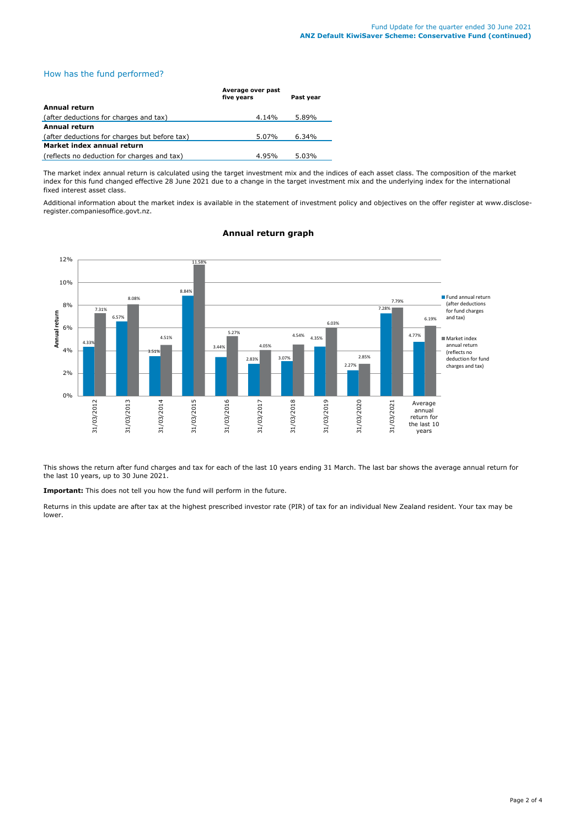#### How has the fund performed?

|                                               | Average over past<br>five years | Past year |
|-----------------------------------------------|---------------------------------|-----------|
| <b>Annual return</b>                          |                                 |           |
| (after deductions for charges and tax)        | $4.14\%$                        | 5.89%     |
| Annual return                                 |                                 |           |
| (after deductions for charges but before tax) | 5.07%                           | 6.34%     |
| Market index annual return                    |                                 |           |
| (reflects no deduction for charges and tax)   | 4.95%                           | 5.03%     |

The market index annual return is calculated using the target investment mix and the indices of each asset class. The composition of the market index for this fund changed effective 28 June 2021 due to a change in the target investment mix and the underlying index for the international fixed interest asset class.

Additional information about the market index is available in the statement of investment policy and objectives on the offer register at www.discloseregister.companiesoffice.govt.nz.

#### 4.33% 6.57% 3.51% 8.84% 3.44% 2.83% 3.07% 4.35% 2.27% 7.28% 4.77% 7.31% 8.08% 4.51% 11.58% 5.27% 4.05% 4.54% 6.03% 2.85% 7.79% 6.19% 0% 2% 4% 6% 8% 10% 12% 31/03/2012 31/03/2013 31/03/2014 31/03/2015 31/03/2016 31/03/2017 31/03/2018 31/03/2019 31/03/2020 31/03/2021 . Average **Annual return** Fund annual return (after deductions for fund charges and tax) Market index annual return (reflects no deduction for fund charges and tax) annual return for the last 10 years

#### **Annual return graph**

This shows the return after fund charges and tax for each of the last 10 years ending 31 March. The last bar shows the average annual return for the last 10 years, up to 30 June 2021.

**Important:** This does not tell you how the fund will perform in the future.

Returns in this update are after tax at the highest prescribed investor rate (PIR) of tax for an individual New Zealand resident. Your tax may be lower.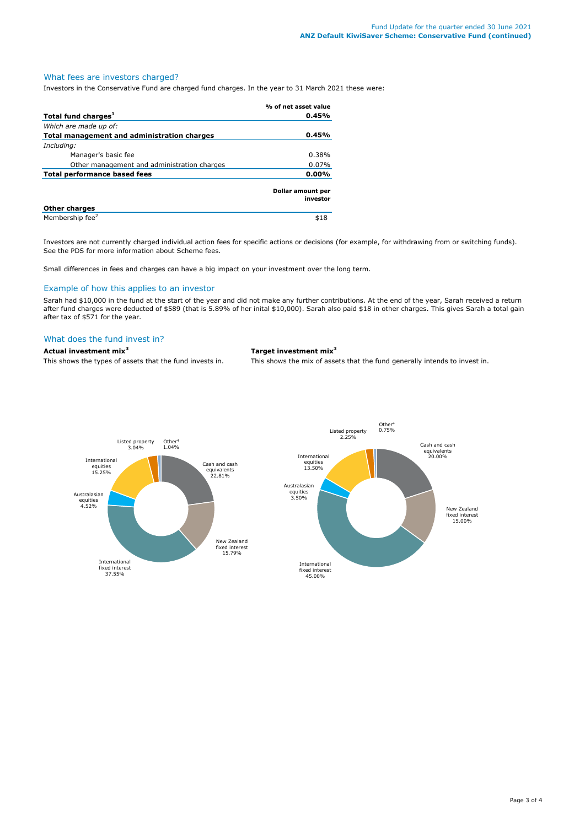### What fees are investors charged?

Investors in the Conservative Fund are charged fund charges. In the year to 31 March 2021 these were:

|                                             | % of net asset value          |
|---------------------------------------------|-------------------------------|
| Total fund charges <sup>1</sup>             | 0.45%                         |
| Which are made up of:                       |                               |
| Total management and administration charges | 0.45%                         |
| Including:                                  |                               |
| Manager's basic fee                         | 0.38%                         |
| Other management and administration charges | 0.07%                         |
| Total performance based fees                | 0.00%                         |
|                                             | Dollar amount per<br>investor |
| <b>Other charges</b>                        |                               |
| Membership fee <sup>2</sup>                 | \$18                          |

Investors are not currently charged individual action fees for specific actions or decisions (for example, for withdrawing from or switching funds). See the PDS for more information about Scheme fees.

Small differences in fees and charges can have a big impact on your investment over the long term.

#### Example of how this applies to an investor

Sarah had \$10,000 in the fund at the start of the year and did not make any further contributions. At the end of the year, Sarah received a return after fund charges were deducted of \$589 (that is 5.89% of her inital \$10,000). Sarah also paid \$18 in other charges. This gives Sarah a total gain after tax of \$571 for the year.

#### What does the fund invest in?

**Actual investment mix<sup>3</sup> Target investment mix<sup>3</sup>**

This shows the types of assets that the fund invests in. This shows the mix of assets that the fund generally intends to invest in.